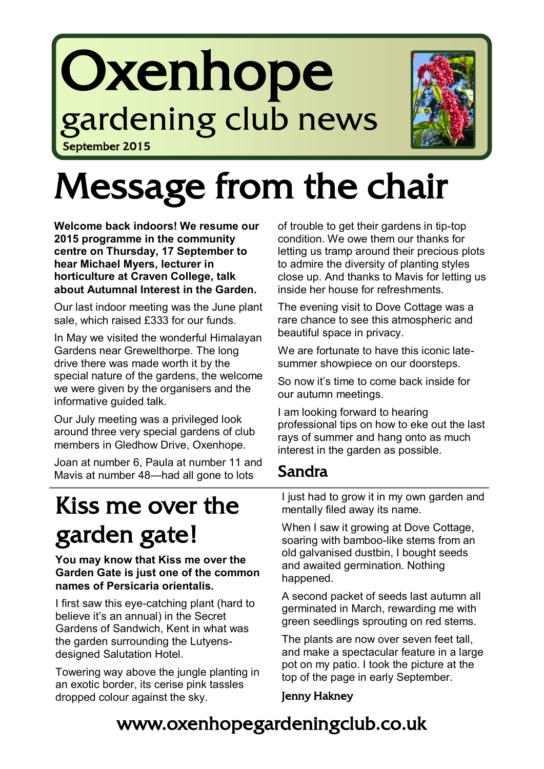# Oxenhope gardening club news September 2015



# Message from the chair

**Welcome back indoors! We resume our 2015 programme in the community centre on Thursday, 17 September to hear Michael Myers, lecturer in horticulture at Craven College, talk about Autumnal Interest in the Garden.**

Our last indoor meeting was the June plant sale, which raised £333 for our funds.

In May we visited the wonderful Himalayan Gardens near Grewelthorpe. The long drive there was made worth it by the special nature of the gardens, the welcome we were given by the organisers and the informative guided talk.

Our July meeting was a privileged look around three very special gardens of club members in Gledhow Drive, Oxenhope.

Joan at number 6, Paula at number 11 and Mavis at number 48—had all gone to lots

# Kiss me over the garden gate!

#### **You may know that Kiss me over the Garden Gate is just one of the common names of Persicaria orientalis.**

I first saw this eye-catching plant (hard to believe it's an annual) in the Secret Gardens of Sandwich, Kent in what was the garden surrounding the Lutyensdesigned Salutation Hotel.

Towering way above the jungle planting in an exotic border, its cerise pink tassles dropped colour against the sky.

of trouble to get their gardens in tip-top condition. We owe them our thanks for letting us tramp around their precious plots to admire the diversity of planting styles close up. And thanks to Mavis for letting us inside her house for refreshments.

The evening visit to Dove Cottage was a rare chance to see this atmospheric and beautiful space in privacy.

We are fortunate to have this iconic latesummer showpiece on our doorsteps.

So now it's time to come back inside for our autumn meetings.

I am looking forward to hearing professional tips on how to eke out the last rays of summer and hang onto as much interest in the garden as possible.

#### Sandra

I just had to grow it in my own garden and mentally filed away its name.

When I saw it growing at Dove Cottage, soaring with bamboo-like stems from an old galvanised dustbin, I bought seeds and awaited germination. Nothing happened.

A second packet of seeds last autumn all germinated in March, rewarding me with green seedlings sprouting on red stems.

The plants are now over seven feet tall, and make a spectacular feature in a large pot on my patio. I took the picture at the top of the page in early September.

#### Jenny Hakney

## www.oxenhopegardeningclub.co.uk